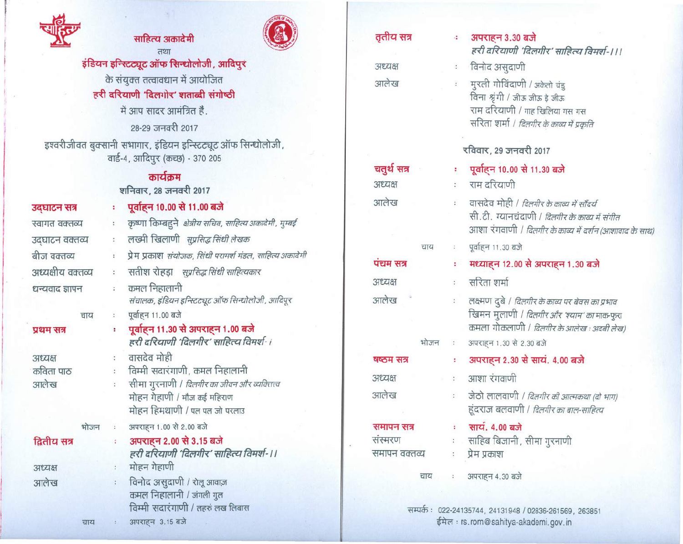

## साहित्य अकादेमी  $727$



इंडियन इन्स्टिट्यूट ऑफ सिन्धोलोजी, आदिपुर के संयुक्त तत्वावधान में आयोजित

हरी दरियाणी 'दिलगोर' शताब्दी संगोष्ठी

में आप सादर आमंत्रित है. 28-29 जनवरी 2017

इश्वरीजीवत बुक्सानी सभागार, इंडियन इन्स्टिट्यूट ऑफ सिन्<mark>धोलोजी</mark> वार्ड-4, आदिपुर (कच्छ) - 370 205

## कार्यक्रम

शनिवार, 28 जनवरी 2017

| उद्घाटन सत्र                 |      | ŧ                                                 | पूर्वाहन 10.00 से 11.00 बजे                                                                                                                                           |  |  |
|------------------------------|------|---------------------------------------------------|-----------------------------------------------------------------------------------------------------------------------------------------------------------------------|--|--|
| स्वागत वक्तव्य               |      | ÷                                                 | कृष्णा किम्बहुने   क्षेत्रीय सचिव, साहित्य अकादेमी, मुम्बई                                                                                                            |  |  |
| उद्घाटन वक्तव्य              |      | t                                                 | लख्मी खिलाणी <i>सुप्रसिद्ध सिंधी लेखक</i>                                                                                                                             |  |  |
| बीज वक्तव्य                  |      | ł.                                                | प्रेम प्रकाश <i>संयोजक, सिंधी परामर्श मंडल, साहित्य</i> अकादेमी                                                                                                       |  |  |
| अध्यक्षीय वक्तव्य            |      | $\ddot{\cdot}$                                    | सतीश रोहड़ा <i>स्प्रसिद्ध सिंधी साहित्यकार</i>                                                                                                                        |  |  |
| धन्यवाद ज्ञापन               |      | $\ddot{\phantom{a}}$                              | कमल निहालानी<br>संचालक, इंडियन इन्स्टिट्यूट ऑफ सिन्धोलोजी, आदिपूर                                                                                                     |  |  |
|                              | चाय  | $\ddot{\cdot}$                                    | पूर्वाहन 11.00 बजे                                                                                                                                                    |  |  |
| प्रथम सत्र                   |      | ÷                                                 | पूर्वाहन 11.30 से अपराहन 1.00 बजे<br>हरी दरियाणी 'दिलगीर' साहित्य विमर्श-।                                                                                            |  |  |
| अध्यक्ष<br>कविता पाठ<br>आलेख |      | $\ddot{\phantom{a}}$<br>$\ddot{\phantom{a}}$<br>÷ | वासदेव मोही<br>विम्मी सदारंगाणी, कमल निहालानी<br>सीमा गुरनाणी / <i>दिलगीर का जीवन और व्यक्तित्त्व</i><br>मोहन गेहाणी / मौज कई महिराण<br>मोहन हिमथाणी / पल पल जो परलाउ |  |  |
|                              | भोजन | $\mathcal{L}$                                     | अपराहन 1.00 से 2.00 बजे                                                                                                                                               |  |  |
| द्वितीय सत्र                 |      | $\ddot{\phantom{a}}$                              | अपराहन 2.00 से 3.15 बजे<br>हरी दरियाणी 'दिलगीर' साहित्य विमर्श-।।                                                                                                     |  |  |
| अध्यक्ष                      |      | ÷                                                 | मोहन गेहाणी                                                                                                                                                           |  |  |
| आलेख                         |      | $\ddot{\cdot}$                                    | विनोद असुदाणी / रोलू आवाज़<br>कमल निहालानी / जंगली गुल<br>विम्मी सदारंगाणी / लहरुं लख लिबास                                                                           |  |  |
|                              | चाय  | $\mathcal{L}_{\mathcal{A}}$                       | अपराहन 3.15 बजे                                                                                                                                                       |  |  |

| तृतीय सत्र             | 4.                   | अपराहन 3.30 बजे<br>हरी दरियाणी 'दिलगीर' साहित्य विमर्श-।।।                                                                                                        |  |  |  |
|------------------------|----------------------|-------------------------------------------------------------------------------------------------------------------------------------------------------------------|--|--|--|
| अध्यक्ष                | $\ddot{\cdot}$       | विनोद असुदाणी                                                                                                                                                     |  |  |  |
| आलेख<br>$\ddot{\cdot}$ |                      | मुरली गोविंदाणी / अकेलो चंडु<br>विना श्रृंगी / जीऊ जीऊ इे जीऊ<br>राम दरियाणी / गाह खिलिया गस गस<br>सरिता शर्मा / <i>दिलगीर के काव्य में प्रकृति</i>               |  |  |  |
|                        |                      | रविवार, 29 जनवरी 2017                                                                                                                                             |  |  |  |
| चतुर्थ सत्र            | ž,                   | पूर्वाहन 10.00 से 11.30 बजे                                                                                                                                       |  |  |  |
| अध्यक्ष                |                      | राम दरियाणी                                                                                                                                                       |  |  |  |
| आलेख                   |                      | वासदेव मोही / <i>दिलगीर के काव्य में सौंदर्य</i><br>सी. टी. ग्यानचंदाणी / <i>दिलगीर के काव्य में संगीत</i>                                                        |  |  |  |
|                        |                      | आशा रंगवाणी <i>। दिलगीर के काव्य में दर्शन (आशावाद के साथ</i>                                                                                                     |  |  |  |
| चाय                    |                      | पूर्वाहन 11.30 बजे                                                                                                                                                |  |  |  |
| पंचम सत्र              | ř,                   | मध्याहन 12.00 से अपराहन 1.30 बजे                                                                                                                                  |  |  |  |
| अध्यक्ष                | ÿ.                   | सरिता शर्मा                                                                                                                                                       |  |  |  |
| आलेख                   | $\frac{1}{\alpha}$   | लक्ष्मण दुबे <i>। दिलगीर के काव्य पर बेवस का प्रभाव</i><br>खिमन मुलाणी <i>। दिलगीर और 'श्याम' का</i> माक-फुरा<br>कमला गोकलाणी / <i>दिलगीर के आलेख : अदबी लेख)</i> |  |  |  |
| भोजन                   | $\ddot{\cdot}$       | अपराहन 1.30 से 2.30 बजे                                                                                                                                           |  |  |  |
| षष्ठम सत्र             | ÷,                   | अपराहन 2.30 से सायं. 4.00 बजे                                                                                                                                     |  |  |  |
| अध्यक्ष                | $\sim$               | आशा रंगवाणी                                                                                                                                                       |  |  |  |
| आलेख                   | $\ddot{z}$           | जेठो लालवाणी / दिलगीर की आत्मकथा (दो भाग)<br>हूंदराज बलवाणी / <i>दिलगीर का बाल-साहित्य</i>                                                                        |  |  |  |
| समापन सत्र             | t.,                  | साय. 4.00 बजे                                                                                                                                                     |  |  |  |
| संस्मरण                |                      | ः साहिब बिजानी, सीमा गुरनाणी                                                                                                                                      |  |  |  |
| समापन वक्तव्य          | $\ddot{\phantom{a}}$ | प्रेम प्रकाश                                                                                                                                                      |  |  |  |
|                        |                      | चाय : अपराहन 4.30 बजे                                                                                                                                             |  |  |  |
|                        |                      |                                                                                                                                                                   |  |  |  |

सम्पर्कः ०२२-२४१३५२४, २४१३१९४८ / ०२८३६-२६१५६९, ईमेल : rs.rom@sahitya-akademi.gov.in